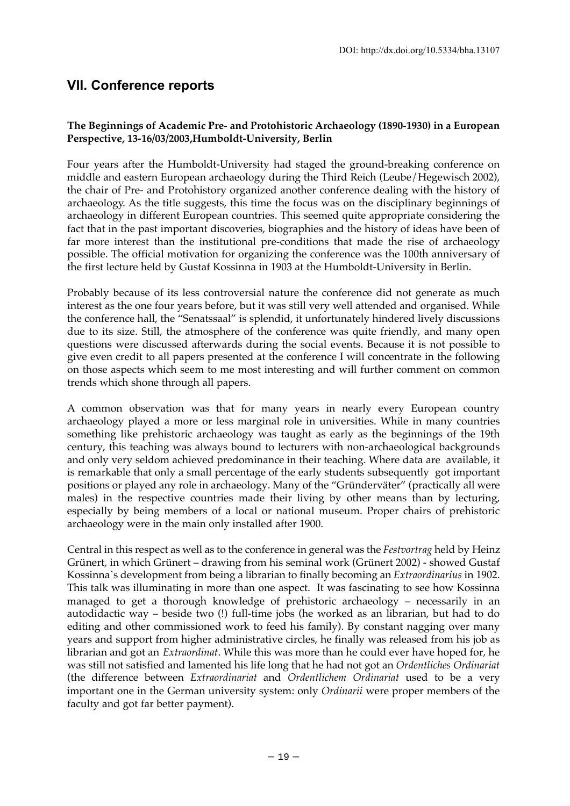## **VII. Conference reports**

## **The Beginnings of Academic Pre- and Protohistoric Archaeology (1890-1930) in a European Perspective, 13-16/03/2003,Humboldt-University, Berlin**

Four years after the Humboldt-University had staged the ground-breaking conference on middle and eastern European archaeology during the Third Reich (Leube/Hegewisch 2002), the chair of Pre- and Protohistory organized another conference dealing with the history of archaeology. As the title suggests, this time the focus was on the disciplinary beginnings of archaeology in different European countries. This seemed quite appropriate considering the fact that in the past important discoveries, biographies and the history of ideas have been of far more interest than the institutional pre-conditions that made the rise of archaeology possible. The official motivation for organizing the conference was the 100th anniversary of the first lecture held by Gustaf Kossinna in 1903 at the Humboldt-University in Berlin.

Probably because of its less controversial nature the conference did not generate as much interest as the one four years before, but it was still very well attended and organised. While the conference hall, the "Senatssaal" is splendid, it unfortunately hindered lively discussions due to its size. Still, the atmosphere of the conference was quite friendly, and many open questions were discussed afterwards during the social events. Because it is not possible to give even credit to all papers presented at the conference I will concentrate in the following on those aspects which seem to me most interesting and will further comment on common trends which shone through all papers.

A common observation was that for many years in nearly every European country archaeology played a more or less marginal role in universities. While in many countries something like prehistoric archaeology was taught as early as the beginnings of the 19th century, this teaching was always bound to lecturers with non-archaeological backgrounds and only very seldom achieved predominance in their teaching. Where data are available, it is remarkable that only a small percentage of the early students subsequently got important positions or played any role in archaeology. Many of the "Gründerväter" (practically all were males) in the respective countries made their living by other means than by lecturing, especially by being members of a local or national museum. Proper chairs of prehistoric archaeology were in the main only installed after 1900.

Central in this respect as well as to the conference in general was the *Festvortrag* held by Heinz Grünert, in which Grünert – drawing from his seminal work (Grünert 2002) - showed Gustaf Kossinna`s development from being a librarian to finally becoming an *Extraordinarius* in 1902. This talk was illuminating in more than one aspect. It was fascinating to see how Kossinna managed to get a thorough knowledge of prehistoric archaeology – necessarily in an autodidactic way – beside two (!) full-time jobs (he worked as an librarian, but had to do editing and other commissioned work to feed his family). By constant nagging over many years and support from higher administrative circles, he finally was released from his job as librarian and got an *Extraordinat*. While this was more than he could ever have hoped for, he was still not satisfied and lamented his life long that he had not got an *Ordentliches Ordinariat* (the difference between *Extraordinariat* and *Ordentlichem Ordinariat* used to be a very important one in the German university system: only *Ordinarii* were proper members of the faculty and got far better payment).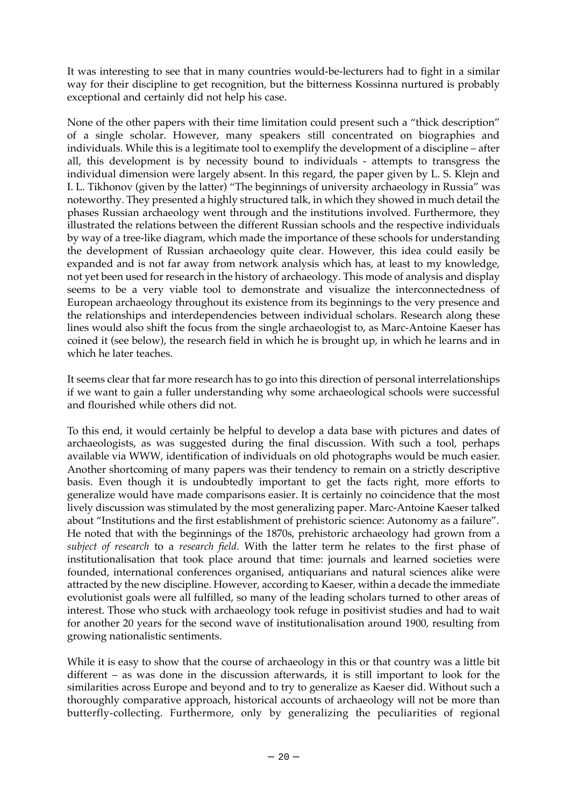It was interesting to see that in many countries would-be-lecturers had to fight in a similar way for their discipline to get recognition, but the bitterness Kossinna nurtured is probably exceptional and certainly did not help his case.

None of the other papers with their time limitation could present such a "thick description" of a single scholar. However, many speakers still concentrated on biographies and individuals. While this is a legitimate tool to exemplify the development of a discipline – after all, this development is by necessity bound to individuals - attempts to transgress the individual dimension were largely absent. In this regard, the paper given by L. S. Klejn and I. L. Tikhonov (given by the latter) "The beginnings of university archaeology in Russia" was noteworthy. They presented a highly structured talk, in which they showed in much detail the phases Russian archaeology went through and the institutions involved. Furthermore, they illustrated the relations between the different Russian schools and the respective individuals by way of a tree-like diagram, which made the importance of these schools for understanding the development of Russian archaeology quite clear. However, this idea could easily be expanded and is not far away from network analysis which has, at least to my knowledge, not yet been used for research in the history of archaeology. This mode of analysis and display seems to be a very viable tool to demonstrate and visualize the interconnectedness of European archaeology throughout its existence from its beginnings to the very presence and the relationships and interdependencies between individual scholars. Research along these lines would also shift the focus from the single archaeologist to, as Marc-Antoine Kaeser has coined it (see below), the research field in which he is brought up, in which he learns and in which he later teaches.

It seems clear that far more research has to go into this direction of personal interrelationships if we want to gain a fuller understanding why some archaeological schools were successful and flourished while others did not.

To this end, it would certainly be helpful to develop a data base with pictures and dates of archaeologists, as was suggested during the final discussion. With such a tool, perhaps available via WWW, identification of individuals on old photographs would be much easier. Another shortcoming of many papers was their tendency to remain on a strictly descriptive basis. Even though it is undoubtedly important to get the facts right, more efforts to generalize would have made comparisons easier. It is certainly no coincidence that the most lively discussion was stimulated by the most generalizing paper. Marc-Antoine Kaeser talked about "Institutions and the first establishment of prehistoric science: Autonomy as a failure". He noted that with the beginnings of the 1870s, prehistoric archaeology had grown from a *subject of research* to a *research field*. With the latter term he relates to the first phase of institutionalisation that took place around that time: journals and learned societies were founded, international conferences organised, antiquarians and natural sciences alike were attracted by the new discipline. However, according to Kaeser, within a decade the immediate evolutionist goals were all fulfilled, so many of the leading scholars turned to other areas of interest. Those who stuck with archaeology took refuge in positivist studies and had to wait for another 20 years for the second wave of institutionalisation around 1900, resulting from growing nationalistic sentiments.

While it is easy to show that the course of archaeology in this or that country was a little bit different – as was done in the discussion afterwards, it is still important to look for the similarities across Europe and beyond and to try to generalize as Kaeser did. Without such a thoroughly comparative approach, historical accounts of archaeology will not be more than butterfly-collecting. Furthermore, only by generalizing the peculiarities of regional